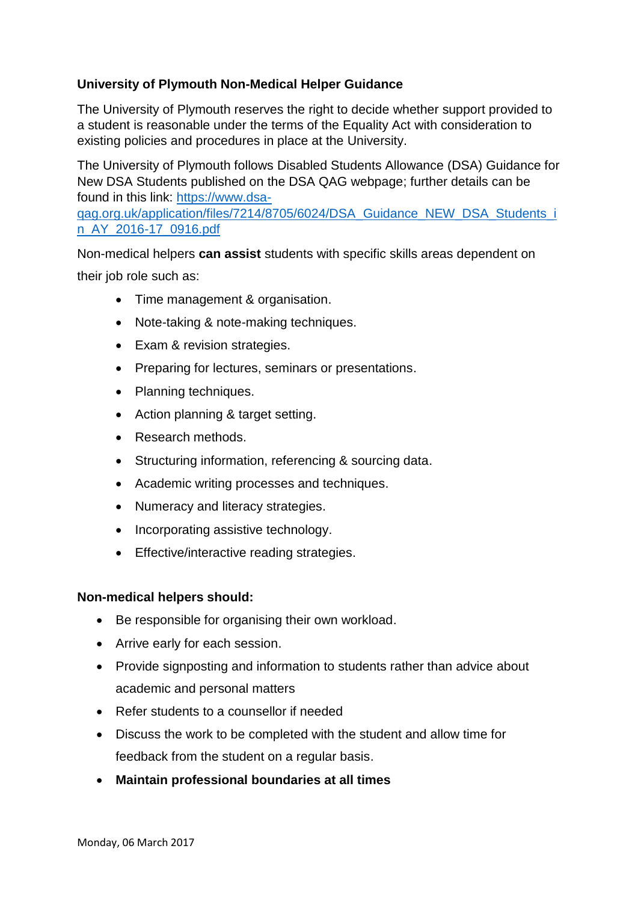## **University of Plymouth Non-Medical Helper Guidance**

The University of Plymouth reserves the right to decide whether support provided to a student is reasonable under the terms of the Equality Act with consideration to existing policies and procedures in place at the University.

The University of Plymouth follows Disabled Students Allowance (DSA) Guidance for New DSA Students published on the DSA QAG webpage; further details can be found in this link: [https://www.dsa-](https://www.dsa-qag.org.uk/application/files/7214/8705/6024/DSA_Guidance_NEW_DSA_Students_in_AY_2016-17_0916.pdf)

[qag.org.uk/application/files/7214/8705/6024/DSA\\_Guidance\\_NEW\\_DSA\\_Students\\_i](https://www.dsa-qag.org.uk/application/files/7214/8705/6024/DSA_Guidance_NEW_DSA_Students_in_AY_2016-17_0916.pdf) [n\\_AY\\_2016-17\\_0916.pdf](https://www.dsa-qag.org.uk/application/files/7214/8705/6024/DSA_Guidance_NEW_DSA_Students_in_AY_2016-17_0916.pdf) 

Non-medical helpers **can assist** students with specific skills areas dependent on their job role such as:

- Time management & organisation.
- Note-taking & note-making techniques.
- Exam & revision strategies.
- Preparing for lectures, seminars or presentations.
- Planning techniques.
- Action planning & target setting.
- Research methods.
- Structuring information, referencing & sourcing data.
- Academic writing processes and techniques.
- Numeracy and literacy strategies.
- Incorporating assistive technology.
- Effective/interactive reading strategies.

## **Non-medical helpers should:**

- Be responsible for organising their own workload.
- Arrive early for each session.
- Provide signposting and information to students rather than advice about academic and personal matters
- Refer students to a counsellor if needed
- Discuss the work to be completed with the student and allow time for feedback from the student on a regular basis.
- **Maintain professional boundaries at all times**